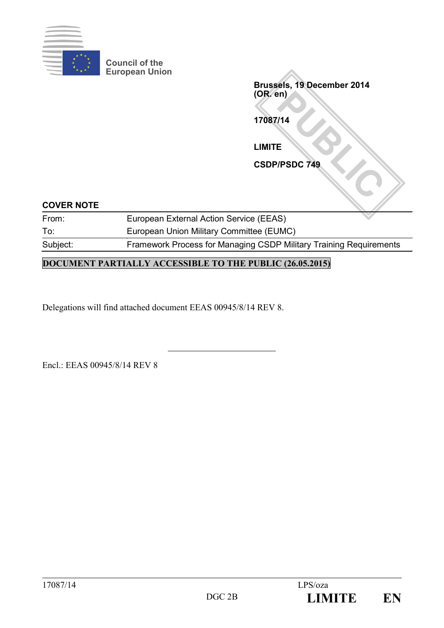

**COVER NOTE**

**Council of the European Union**



| From:    | European External Action Service (EEAS)                            |  |
|----------|--------------------------------------------------------------------|--|
| To:      | European Union Military Committee (EUMC)                           |  |
| Subject: | Framework Process for Managing CSDP Military Training Requirements |  |

**DOCUMENT PARTIALLY ACCESSIBLE TO THE PUBLIC (26.05.2015)**

Delegations will find attached document EEAS 00945/8/14 REV 8.

Encl.: EEAS 00945/8/14 REV 8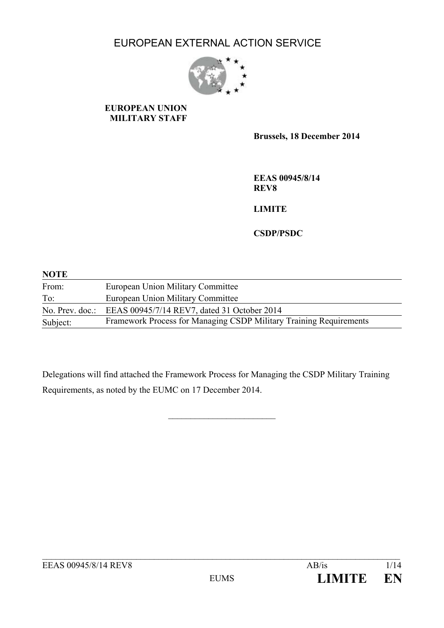# EUROPEAN EXTERNAL ACTION SERVICE



#### **EUROPEAN UNION MILITARY STAFF**

**Brussels, 18 December 2014**

**EEAS 00945/8/14 REV8**

**LIMITE**

**CSDP/PSDC**

#### **NOTE**

| From:    | European Union Military Committee                                  |
|----------|--------------------------------------------------------------------|
| To:      | European Union Military Committee                                  |
|          | No. Prev. doc.: EEAS 00945/7/14 REV7, dated 31 October 2014        |
| Subject: | Framework Process for Managing CSDP Military Training Requirements |

Delegations will find attached the Framework Process for Managing the CSDP Military Training Requirements, as noted by the EUMC on 17 December 2014.

 $\overline{\phantom{a}}$  , which is a set of the set of the set of the set of the set of the set of the set of the set of the set of the set of the set of the set of the set of the set of the set of the set of the set of the set of th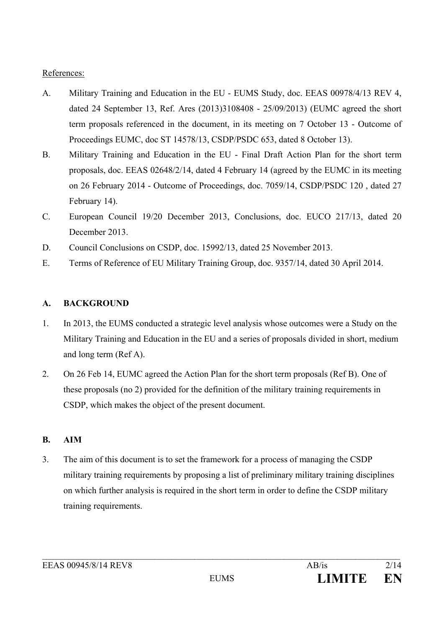#### References:

- A. Military Training and Education in the EU EUMS Study, doc. EEAS 00978/4/13 REV 4, dated 24 September 13, Ref. Ares (2013)3108408 - 25/09/2013) (EUMC agreed the short term proposals referenced in the document, in its meeting on 7 October 13 - Outcome of Proceedings EUMC, doc ST 14578/13, CSDP/PSDC 653, dated 8 October 13).
- B. Military Training and Education in the EU Final Draft Action Plan for the short term proposals, doc. EEAS 02648/2/14, dated 4 February 14 (agreed by the EUMC in its meeting on 26 February 2014 - Outcome of Proceedings, doc. 7059/14, CSDP/PSDC 120 , dated 27 February 14).
- C. European Council 19/20 December 2013, Conclusions, doc. EUCO 217/13, dated 20 December 2013.
- D. Council Conclusions on CSDP, doc. 15992/13, dated 25 November 2013.
- E. Terms of Reference of EU Military Training Group, doc. 9357/14, dated 30 April 2014.

#### **A. BACKGROUND**

- 1. In 2013, the EUMS conducted a strategic level analysis whose outcomes were a Study on the Military Training and Education in the EU and a series of proposals divided in short, medium and long term (Ref A).
- 2. On 26 Feb 14, EUMC agreed the Action Plan for the short term proposals (Ref B). One of these proposals (no 2) provided for the definition of the military training requirements in CSDP, which makes the object of the present document.

#### **B. AIM**

3. The aim of this document is to set the framework for a process of managing the CSDP military training requirements by proposing a list of preliminary military training disciplines on which further analysis is required in the short term in order to define the CSDP military training requirements.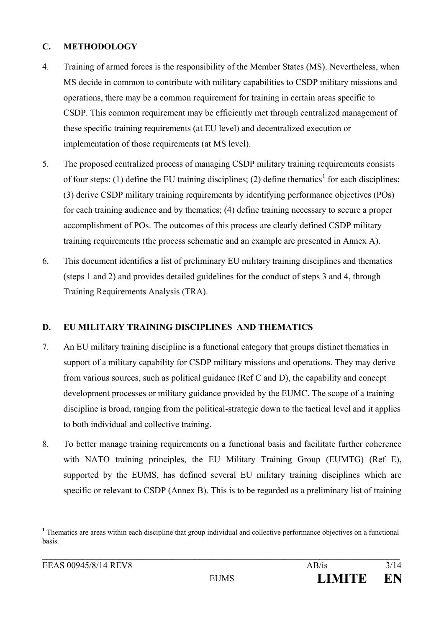### **C. METHODOLOGY**

- 4. Training of armed forces is the responsibility of the Member States (MS). Nevertheless, when MS decide in common to contribute with military capabilities to CSDP military missions and operations, there may be a common requirement for training in certain areas specific to CSDP. This common requirement may be efficiently met through centralized management of these specific training requirements (at EU level) and decentralized execution or implementation of those requirements (at MS level).
- 5. The proposed centralized process of managing CSDP military training requirements consists of four steps: ([1](#page-3-0)) define the EU training disciplines; (2) define thematics<sup>1</sup> for each disciplines; (3) derive CSDP military training requirements by identifying performance objectives (POs) for each training audience and by thematics; (4) define training necessary to secure a proper accomplishment of POs. The outcomes of this process are clearly defined CSDP military training requirements (the process schematic and an example are presented in Annex A).
- 6. This document identifies a list of preliminary EU military training disciplines and thematics (steps 1 and 2) and provides detailed guidelines for the conduct of steps 3 and 4, through Training Requirements Analysis (TRA).

### **D. EU MILITARY TRAINING DISCIPLINES AND THEMATICS**

- 7. An EU military training discipline is a functional category that groups distinct thematics in support of a military capability for CSDP military missions and operations. They may derive from various sources, such as political guidance (Ref C and D), the capability and concept development processes or military guidance provided by the EUMC. The scope of a training discipline is broad, ranging from the political-strategic down to the tactical level and it applies to both individual and collective training.
- 8. To better manage training requirements on a functional basis and facilitate further coherence with NATO training principles, the EU Military Training Group (EUMTG) (Ref E), supported by the EUMS, has defined several EU military training disciplines which are specific or relevant to CSDP (Annex B). This is to be regarded as a preliminary list of training

<span id="page-3-0"></span>**<sup>1</sup>** Thematics are areas within each discipline that group individual and collective performance objectives on a functional basis.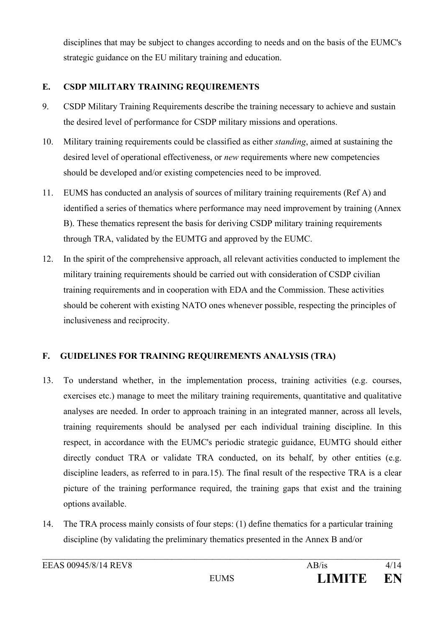disciplines that may be subject to changes according to needs and on the basis of the EUMC's strategic guidance on the EU military training and education.

### **E. CSDP MILITARY TRAINING REQUIREMENTS**

- 9. CSDP Military Training Requirements describe the training necessary to achieve and sustain the desired level of performance for CSDP military missions and operations.
- 10. Military training requirements could be classified as either *standing*, aimed at sustaining the desired level of operational effectiveness, or *new* requirements where new competencies should be developed and/or existing competencies need to be improved.
- 11. EUMS has conducted an analysis of sources of military training requirements (Ref A) and identified a series of thematics where performance may need improvement by training (Annex B). These thematics represent the basis for deriving CSDP military training requirements through TRA, validated by the EUMTG and approved by the EUMC.
- 12. In the spirit of the comprehensive approach, all relevant activities conducted to implement the military training requirements should be carried out with consideration of CSDP civilian training requirements and in cooperation with EDA and the Commission. These activities should be coherent with existing NATO ones whenever possible, respecting the principles of inclusiveness and reciprocity.

# **F. GUIDELINES FOR TRAINING REQUIREMENTS ANALYSIS (TRA)**

- 13. To understand whether, in the implementation process, training activities (e.g. courses, exercises etc.) manage to meet the military training requirements, quantitative and qualitative analyses are needed. In order to approach training in an integrated manner, across all levels, training requirements should be analysed per each individual training discipline. In this respect, in accordance with the EUMC's periodic strategic guidance, EUMTG should either directly conduct TRA or validate TRA conducted, on its behalf, by other entities (e.g. discipline leaders, as referred to in para.15). The final result of the respective TRA is a clear picture of the training performance required, the training gaps that exist and the training options available.
- 14. The TRA process mainly consists of four steps: (1) define thematics for a particular training discipline (by validating the preliminary thematics presented in the Annex B and/or

\_\_\_\_\_\_\_\_\_\_\_\_\_\_\_\_\_\_\_\_\_\_\_\_\_\_\_\_\_\_\_\_\_\_\_\_\_\_\_\_\_\_\_\_\_\_\_\_\_\_\_\_\_\_\_\_\_\_\_\_\_\_\_\_\_\_\_\_\_\_\_\_\_\_\_\_\_\_\_\_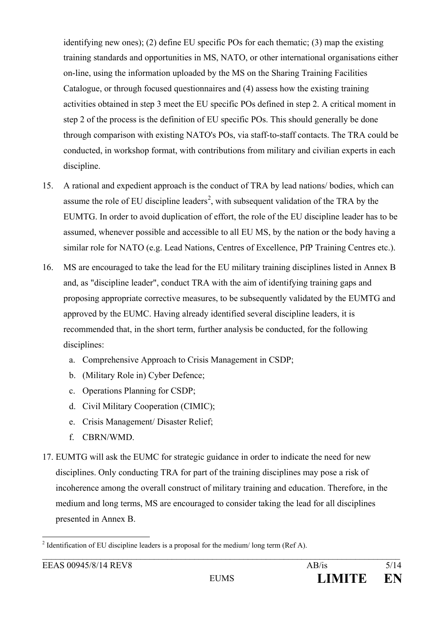identifying new ones); (2) define EU specific POs for each thematic; (3) map the existing training standards and opportunities in MS, NATO, or other international organisations either on-line, using the information uploaded by the MS on the Sharing Training Facilities Catalogue, or through focused questionnaires and (4) assess how the existing training activities obtained in step 3 meet the EU specific POs defined in step 2. A critical moment in step 2 of the process is the definition of EU specific POs. This should generally be done through comparison with existing NATO's POs, via staff-to-staff contacts. The TRA could be conducted, in workshop format, with contributions from military and civilian experts in each discipline.

- 15. A rational and expedient approach is the conduct of TRA by lead nations/ bodies, which can assume the role of EU discipline leaders<sup>[2](#page-5-0)</sup>, with subsequent validation of the TRA by the EUMTG. In order to avoid duplication of effort, the role of the EU discipline leader has to be assumed, whenever possible and accessible to all EU MS, by the nation or the body having a similar role for NATO (e.g. Lead Nations, Centres of Excellence, PfP Training Centres etc.).
- 16. MS are encouraged to take the lead for the EU military training disciplines listed in Annex B and, as "discipline leader", conduct TRA with the aim of identifying training gaps and proposing appropriate corrective measures, to be subsequently validated by the EUMTG and approved by the EUMC. Having already identified several discipline leaders, it is recommended that, in the short term, further analysis be conducted, for the following disciplines:
	- a. Comprehensive Approach to Crisis Management in CSDP;
	- b. (Military Role in) Cyber Defence;
	- c. Operations Planning for CSDP;
	- d. Civil Military Cooperation (CIMIC);
	- e. Crisis Management/ Disaster Relief;
	- f. CBRN/WMD.
- 17. EUMTG will ask the EUMC for strategic guidance in order to indicate the need for new disciplines. Only conducting TRA for part of the training disciplines may pose a risk of incoherence among the overall construct of military training and education. Therefore, in the medium and long terms, MS are encouraged to consider taking the lead for all disciplines presented in Annex B.

<span id="page-5-0"></span><sup>&</sup>lt;sup>2</sup> Identification of EU discipline leaders is a proposal for the medium/long term (Ref A).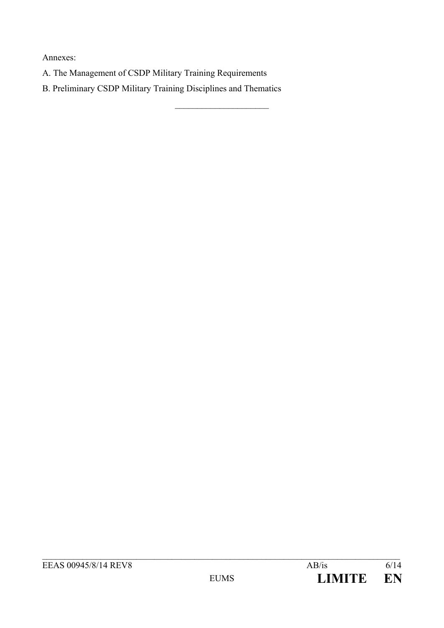Annexes:

- A. The Management of CSDP Military Training Requirements
- B. Preliminary CSDP Military Training Disciplines and Thematics

 $\overline{\phantom{a}}$  , and the set of the set of the set of the set of the set of the set of the set of the set of the set of the set of the set of the set of the set of the set of the set of the set of the set of the set of the s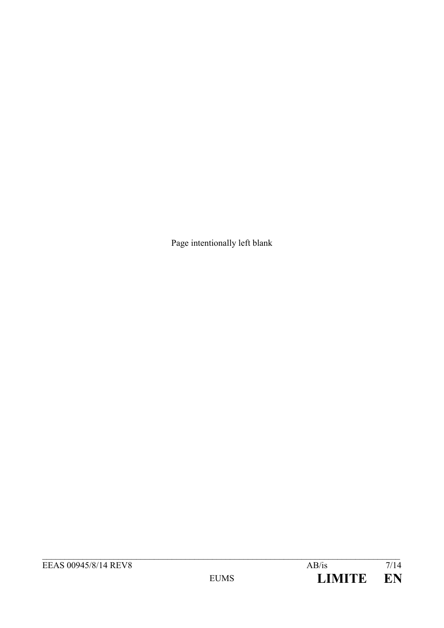Page intentionally left blank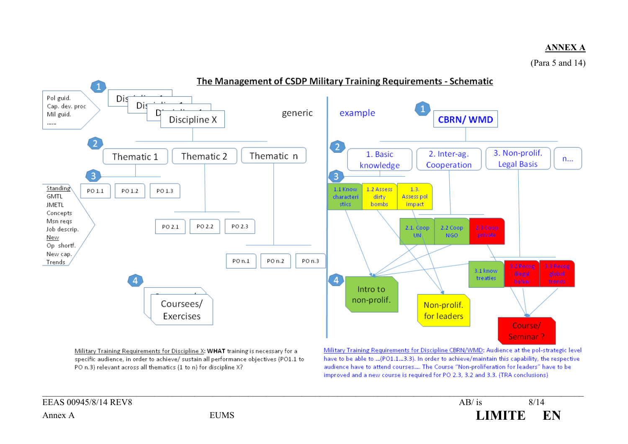#### **ANNEX A**

(Para 5 and 14)



Military Training Requirements for Discipline X: WHAT training is necessary for a specific audience, in order to achieve/ sustain all performance objectives (PO1.1 to PO n.3) relevant across all thematics (1 to n) for discipline X?

Military Training Requirements for Discipline CBRN/WMD: Audience at the pol-strategic level have to be able to ...(PO1.1...3.3). In order to achieve/maintain this capability, the respective audience have to attend courses.... The Course "Non-proliferation for leaders" have to be improved and a new course is required for PO 2.3, 3.2 and 3.3. (TRA conclusions)

 $AB/is$ 

**LIMITE** 

 $8/14$ 

EN

Annex A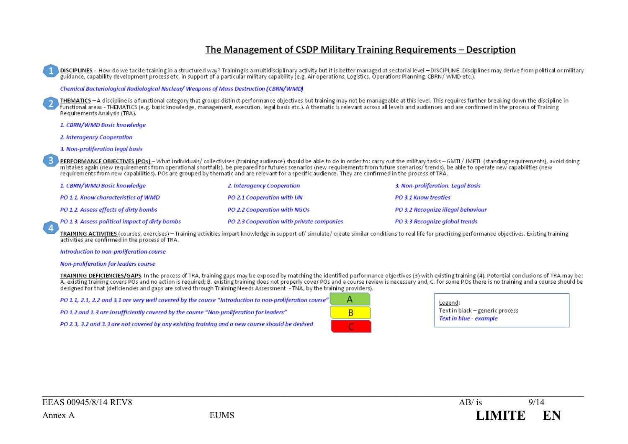#### The Management of CSDP Military Training Requirements - Description

DISCIPLINES - How do we tackle training in a structured way? Training is a multidisciplinary activity but it is better managed at sectorial level - DISCIPLINE. Disciplines may derive from political or military guidance, capability development process etc. in support of a particular military capability (e.g. Air operations, Logistics, Operations Planning, CBRN/WMD etc.).

**Chemical Bacteriological Radiological Nuclear/ Weapons of Mass Destruction (CBRN/WMD)** 

THEMATICS - A discipline is a functional category that groups distinct performance objectives but training may not be manageable at this level. This requires further breaking down the discipline in functional areas - THEMATICS (e.g. basic knowledge, management, execution, legal basis etc.). A thematic is relevant across all levels and audiences and are confirmed in the process of Training Requirements Analysis (TRA).

1. CBRN/WMD Basic knowledae

2. Interagency Cooperation

3. Non-proliferation legal basis

PERFORMANCE OBJECTIVES (POs) - What individuals/ collectivises (training audience) should be able to do in order to: carry out the military tasks - GMTL/ JMETL (standing requirements), avoid doing mistakes again (new requirements from operational shortfalls), be prepared for futures scenarios (new requirements from future scenarios/ trends), be able to operate new capabilities (new requirements from new capabilities). POs are grouped by thematic and are relevant for a specific audience. They are confirmed in the process of TRA.

| 1. CBRN/WMD Basic knowledge                    | 2. Interagency Cooperation                | 3. Non-proliferation. Legal Basis  |
|------------------------------------------------|-------------------------------------------|------------------------------------|
| PO 1.1. Know characteristics of WMD            | PO 2.1 Cooperation with UN                | PO 3.1 Know treaties               |
| PO 1.2. Assess effects of dirty bombs          | PO 2.2 Cooperation with NGOs              | PO 3.2 Recognize illegal behaviour |
| PO 1.3. Assess political impact of dirty bombs | PO 2.3 Cooperation with private companies | PO 3.3 Recognize global trends     |

TRAINING ACTIVITIES (courses, exergises) - Training activities impart knowledge in support of/simulate/create similar conditions to real life for practicing performance objectives. Existing training activities are confirmed in the process of TRA.

Introduction to non-proliferation course

**Non-proliferation for leaders course** 

TRAINING DEFICIENCIES/GAPS. In the process of TRA, training gaps may be exposed by matching the identified performance objectives (3) with existing training (4). Potential conclusions of TRA may be: A. existing training covers POs and no action is required; B. existing training does not properly cover POs and a course review is necessary and, C. for some POs there is no training and a course should be designed for that (deficiencies and gaps are solved through Training Needs Assessment - TNA, by the training providers).

PO 1.1, 2.1, 2.2 and 3.1 are very well covered by the course "Introduction to non-proliferation course"

PO 1.2 and 1.3 are insufficiently covered by the course "Non-proliferation for leaders"

PO 2.3, 3.2 and 3.3 are not covered by any existing training and a new course should be devised

| Legend:                         |
|---------------------------------|
| Text in black - generic process |
| Text in blue - example          |
|                                 |

**EUMS** 

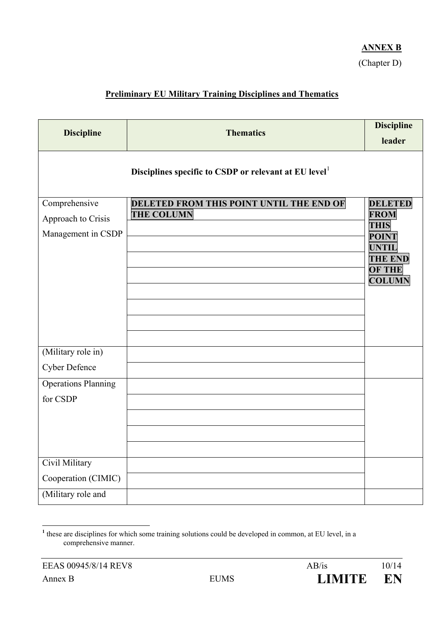### **ANNEX B**

(Chapter D)

# **Preliminary EU Military Training Disciplines and Thematics**

| <b>Discipline</b>                      | <b>Thematics</b>                                                  | <b>Discipline</b><br>leader                                                      |
|----------------------------------------|-------------------------------------------------------------------|----------------------------------------------------------------------------------|
|                                        | Disciplines specific to CSDP or relevant at EU level <sup>1</sup> |                                                                                  |
| Comprehensive                          | DELETED FROM THIS POINT UNTIL THE END OF                          | <b>DELETED</b>                                                                   |
| Approach to Crisis                     | THE COLUMN                                                        | <b>FROM</b><br><b>THIS</b>                                                       |
| Management in CSDP                     |                                                                   | <b>POINT</b><br><b>UNTIL</b><br><b>THE END</b><br><b>OF THE</b><br><b>COLUMN</b> |
| (Military role in)                     |                                                                   |                                                                                  |
| <b>Cyber Defence</b>                   |                                                                   |                                                                                  |
| <b>Operations Planning</b><br>for CSDP |                                                                   |                                                                                  |
| Civil Military                         |                                                                   |                                                                                  |
| Cooperation (CIMIC)                    |                                                                   |                                                                                  |
| (Military role and                     |                                                                   |                                                                                  |

<span id="page-10-0"></span>**<sup>1</sup>** these are disciplines for which some training solutions could be developed in common, at EU level, in a comprehensive manner.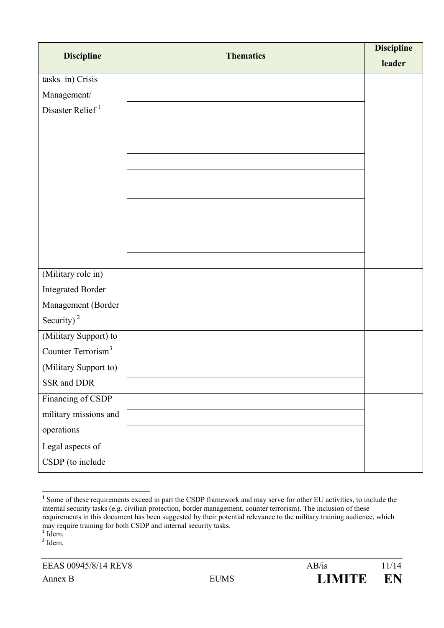|                                | <b>Thematics</b> | <b>Discipline</b> |
|--------------------------------|------------------|-------------------|
| <b>Discipline</b>              |                  | leader            |
| tasks in) Crisis               |                  |                   |
| Management/                    |                  |                   |
| Disaster Relief <sup>1</sup>   |                  |                   |
|                                |                  |                   |
|                                |                  |                   |
|                                |                  |                   |
|                                |                  |                   |
|                                |                  |                   |
|                                |                  |                   |
|                                |                  |                   |
|                                |                  |                   |
|                                |                  |                   |
| (Military role in)             |                  |                   |
| <b>Integrated Border</b>       |                  |                   |
| Management (Border             |                  |                   |
| Security) $^{2}$               |                  |                   |
| (Military Support) to          |                  |                   |
| Counter Terrorism <sup>3</sup> |                  |                   |
| (Military Support to)          |                  |                   |
| SSR and DDR                    |                  |                   |
| Financing of CSDP              |                  |                   |
|                                |                  |                   |
| military missions and          |                  |                   |
| operations                     |                  |                   |
| Legal aspects of               |                  |                   |
| CSDP (to include               |                  |                   |

<span id="page-11-0"></span><sup>&</sup>lt;sup>1</sup> Some of these requirements exceed in part the CSDP framework and may serve for other EU activities, to include the internal security tasks (e.g. civilian protection, border management, counter terrorism). The inclusion of these requirements in this document has been suggested by their potential relevance to the military training audience, which may require training for both CSDP and internal security tasks.

<span id="page-11-1"></span>**<sup>2</sup>** Idem.

<span id="page-11-2"></span>**<sup>3</sup>** Idem.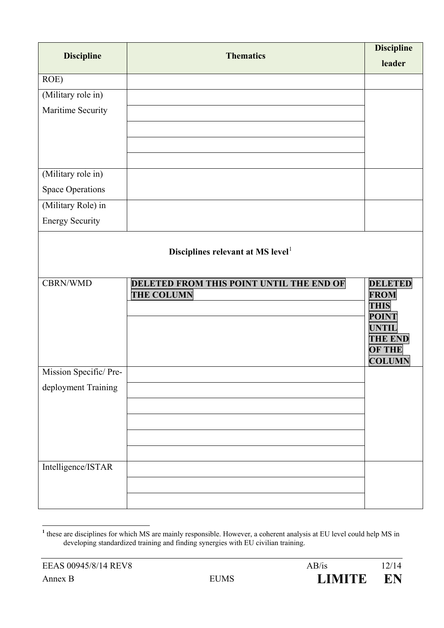| <b>Discipline</b>                             | <b>Thematics</b>                         | <b>Discipline</b>              |  |
|-----------------------------------------------|------------------------------------------|--------------------------------|--|
|                                               |                                          |                                |  |
| ROE)                                          |                                          |                                |  |
| (Military role in)                            |                                          |                                |  |
| Maritime Security                             |                                          |                                |  |
|                                               |                                          |                                |  |
|                                               |                                          |                                |  |
|                                               |                                          |                                |  |
| (Military role in)                            |                                          |                                |  |
| <b>Space Operations</b>                       |                                          |                                |  |
| (Military Role) in                            |                                          |                                |  |
| <b>Energy Security</b>                        |                                          |                                |  |
| Disciplines relevant at MS level <sup>1</sup> |                                          |                                |  |
| CBRN/WMD                                      | DELETED FROM THIS POINT UNTIL THE END OF | <b>DELETED</b>                 |  |
|                                               | THE COLUMN                               | <b>FROM</b><br><b>THIS</b>     |  |
|                                               |                                          | <b>POINT</b>                   |  |
|                                               |                                          | <b>UNTIL</b><br><b>THE END</b> |  |
|                                               |                                          | <b>OF THE</b>                  |  |
| Mission Specific/Pre-                         |                                          | <b>COLUMN</b>                  |  |
| deployment Training                           |                                          |                                |  |
|                                               |                                          |                                |  |
|                                               |                                          |                                |  |
|                                               |                                          |                                |  |
|                                               |                                          |                                |  |
| Intelligence/ISTAR                            |                                          |                                |  |
|                                               |                                          |                                |  |
|                                               |                                          |                                |  |

<span id="page-12-0"></span>**<sup>1</sup>** these are disciplines for which MS are mainly responsible. However, a coherent analysis at EU level could help MS in developing standardized training and finding synergies with EU civilian training.